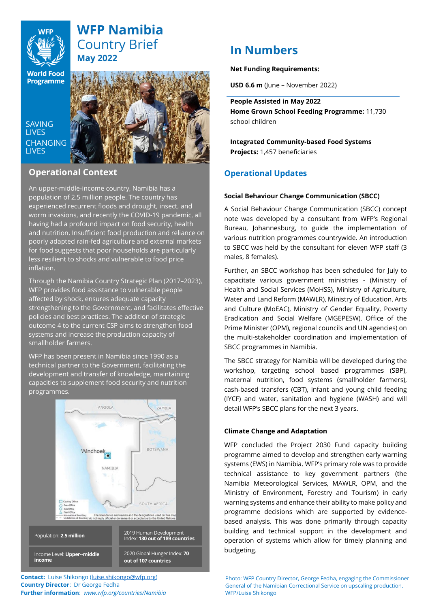

# **WFP Namibia** Country Brief **May 2022**

**World Food Programme** 

**SAVING LIVES CHANGING LIVES** 



# **Operational Context**

An upper-middle-income country, Namibia has a population of 2.5 million people. The country has experienced recurrent floods and drought, insect, and worm invasions, and recently the COVID-19 pandemic, all having had a profound impact on food security, health and nutrition. Insufficient food production and reliance on poorly adapted rain-fed agriculture and external markets for food suggests that poor households are particularly less resilient to shocks and vulnerable to food price inflation.

Through the Namibia Country Strategic Plan (2017–2023), WFP provides food assistance to vulnerable people affected by shock, ensures adequate capacity strengthening to the Government, and facilitates effective policies and best practices. The addition of strategic outcome 4 to the current CSP aims to strengthen food systems and increase the production capacity of smallholder farmers.

WFP has been present in Namibia since 1990 as a technical partner to the Government, facilitating the development and transfer of knowledge, maintaining capacities to supplement food security and nutrition programmes.



**Contact:** Luise Shikongo [\(luise.shikongo@wfp.org\)](mailto:luise.shikongo@wfp.org) **Country Director**: Dr George Fedha **Further information**: *www.wfp.org/countries/Namibia*

# **In Numbers**

# **Net Funding Requirements:**

**USD 6.6 m** (June – November 2022)

**People Assisted in May 2022 Home Grown School Feeding Programme:** 11,730 school children

**Integrated Community-based Food Systems Projects:** 1,457 beneficiaries

# **Operational Updates**

# **Social Behaviour Change Communication (SBCC)**

A Social Behaviour Change Communication (SBCC) concept note was developed by a consultant from WFP's Regional Bureau, Johannesburg, to guide the implementation of various nutrition programmes countrywide. An introduction to SBCC was held by the consultant for eleven WFP staff (3 males, 8 females).

Further, an SBCC workshop has been scheduled for July to capacitate various government ministries - (Ministry of Health and Social Services (MoHSS), Ministry of Agriculture, Water and Land Reform (MAWLR), Ministry of Education, Arts and Culture (MoEAC), Ministry of Gender Equality, Poverty Eradication and Social Welfare (MGEPESW), Office of the Prime Minister (OPM), regional councils and UN agencies) on the multi-stakeholder coordination and implementation of SBCC programmes in Namibia.

The SBCC strategy for Namibia will be developed during the workshop, targeting school based programmes (SBP), maternal nutrition, food systems (smallholder farmers), cash-based transfers (CBT), infant and young child feeding (IYCF) and water, sanitation and hygiene (WASH) and will detail WFP's SBCC plans for the next 3 years.

# **Climate Change and Adaptation**

WFP concluded the Project 2030 Fund capacity building programme aimed to develop and strengthen early warning systems (EWS) in Namibia. WFP's primary role was to provide technical assistance to key government partners (the Namibia Meteorological Services, MAWLR, OPM, and the Ministry of Environment, Forestry and Tourism) in early warning systems and enhance their ability to make policy and programme decisions which are supported by evidencebased analysis. This was done primarily through capacity building and technical support in the development and operation of systems which allow for timely planning and budgeting.

Photo: WFP Country Director, George Fedha, engaging the Commissioner General of the Namibian Correctional Service on upscaling production. WFP/Luise Shikongo